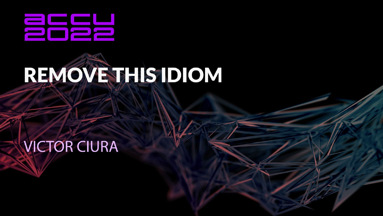

# REMOVE THIS IDIOM

**VICTOR CIURA**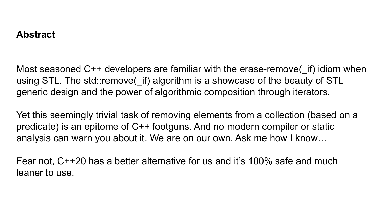#### **Abstract**

Most seasoned C++ developers are familiar with the erase-remove( if) idiom when using STL. The std::remove( if) algorithm is a showcase of the beauty of STL generic design and the power of algorithmic composition through iterators.

Yet this seemingly trivial task of removing elements from a collection (based on a predicate) is an epitome of C++ footguns. And no modern compiler or static analysis can warn you about it. We are on our own. Ask me how I know…

Fear not, C++20 has a better alternative for us and it's 100% safe and much leaner to use.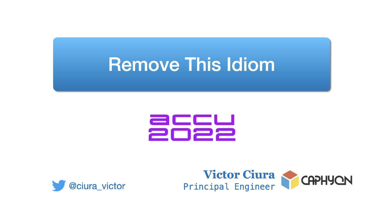# **Remove This Idiom**





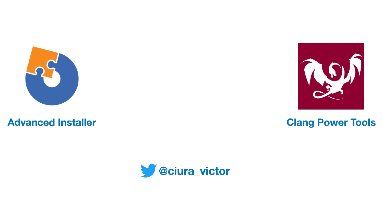

**Advanced Installer** 



#### **Clang Power Tools**

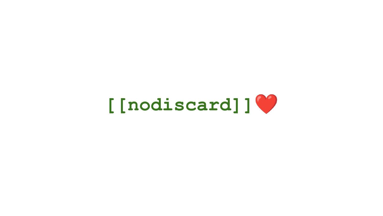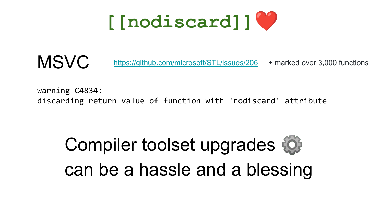

**MSVC** <https://github.com/microsoft/STL/issues/206> + marked over 3,000 functions

warning C4834: discarding return value of function with 'nodiscard' attribute

Compiler toolset upgrades can be a hassle and a blessing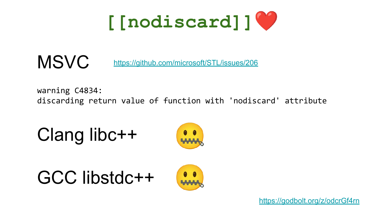

**MSVC** https://github.com/microsoft/STL/issues/206

warning C4834: discarding return value of function with 'nodiscard' attribute

Clang libc++







https://godbolt.org/z/odcrGf4rn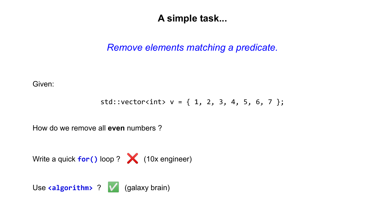#### **A simple task...**

#### *Remove elements matching a predicate.*

Given:

$$
std::vectorint > v = { 1, 2, 3, 4, 5, 6, 7 };
$$

How do we remove all **even** numbers ?

Write a quick **for()** loop ? (10x engineer)

Use **<algorithm>** ?  $\sqrt{}$  (galaxy brain)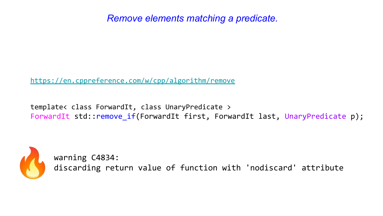<https://en.cppreference.com/w/cpp/algorithm/remove>

template< class ForwardIt, class UnaryPredicate > ForwardIt std::remove if(ForwardIt first, ForwardIt last, UnaryPredicate p);



warning C4834: discarding return value of function with 'nodiscard' attribute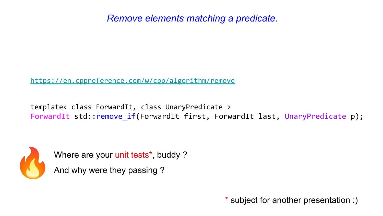<https://en.cppreference.com/w/cpp/algorithm/remove>

template< class ForwardIt, class UnaryPredicate > ForwardIt std::remove if(ForwardIt first, ForwardIt last, UnaryPredicate p);



Where are your unit tests<sup>\*</sup>, buddy ?

And why were they passing ?

\* subject for another presentation :)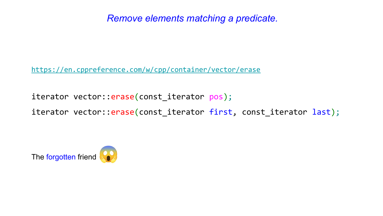<https://en.cppreference.com/w/cpp/container/vector/erase>

iterator vector:: erase(const\_iterator pos);

iterator vector::erase(const\_iterator first, const\_iterator last);

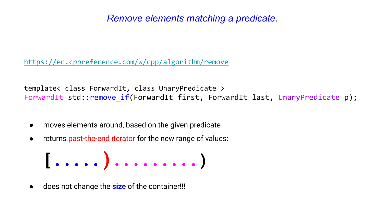<https://en.cppreference.com/w/cpp/algorithm/remove>

template< class ForwardIt, class UnaryPredicate > ForwardIt std::remove if(ForwardIt first, ForwardIt last, UnaryPredicate p);

- moves elements around, based on the given predicate
- returns past-the-end iterator for the new range of values:



does not change the **size** of the container!!!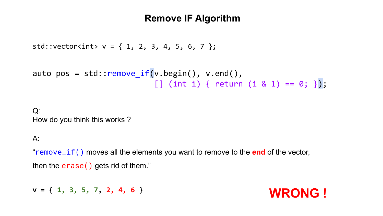#### **Remove IF Algorithm**

```
std::vector<sub>></sub>int> v = { 1, 2, 3, 4, 5, 6, 7 };
```

```
auto pos = std::\mathsf{remove} if(v.begin(), v.end(),
                             [ ] (int i) { return (i & 1) == 0; };
```
 $Q$ : How do you think this works ?

#### A:

"remove\_if() moves all the elements you want to remove to the **end** of the vector, then the erase() gets rid of them."

**v = { 1, 3, 5, 7, 2, 4, 6 } WRONG !**

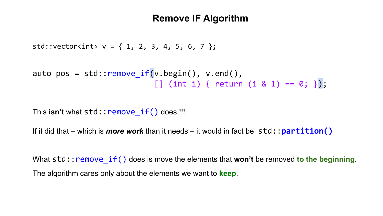#### **Remove IF Algorithm**

```
std::vector<sub>></sub>int> v = { 1, 2, 3, 4, 5, 6, 7 };
```

```
auto pos = std::\mathsf{remove} if(v.begin(), v.end(),
                             [ ] (int i) { return (i & 1) == 0; };
```
This **isn't** what std:: remove if() does !!!

If it did that – which is *more work* than it needs – it would in fact be std::**partition()**

What std::remove  $if()$  does is move the elements that **won't** be removed to the beginning. The algorithm cares only about the elements we want to **keep**.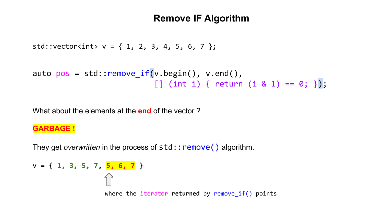#### **Remove IF Algorithm**

```
std::vector<sub>></sub>int> v = { 1, 2, 3, 4, 5, 6, 7 };
```

```
auto pos = std::remove if(v.begin(), v.end(),[ ] (int i) { return (i & 1) == 0; }
```
What about the elements at the **end** of the vector ?

#### **GARBAGE !**

They get *overwritten* in the process of std:: **remove()** algorithm.

```
v = { 1, 3, 5, 7, 5, 6, 7 }
                   where the iterator returned by remove_if() points
```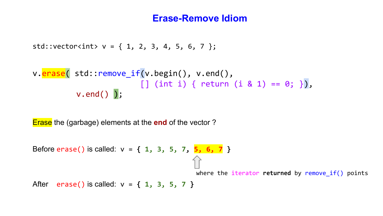```
std::vector<sub>></sub>int> v = { 1, 2, 3, 4, 5, 6, 7 };
```

$$
\begin{array}{ll}\n\text{v}.\text{erase}(\text{ std::remove_if(v.begin(), v.end(), \\ \text{[] (int i) { return (i & 1) == 0; }}), \\
\text{v.end() } \text{)};\n\end{array}
$$

Erase the (garbage) elements at the **end** of the vector ?

Before erase() is called: v = **{ 1, 3, 5, 7, 5, 6, 7 }** イト where the iterator **returned** by remove\_if() pointsAfter erase() is called: v = **{ 1, 3, 5, 7 }**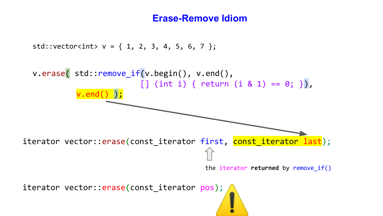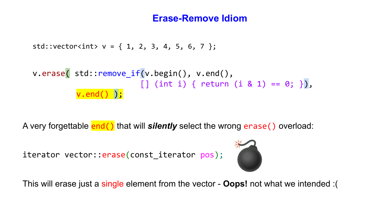```
std::vector<sub>></sub>int> v = { 1, 2, 3, 4, 5, 6, 7 };
```

$$
\text{v.erase( std::remove_if(v.begin(), v.end(), v.end(), \text{ [} (int i) { return (i & 1) == 0; }),
$$
\n
$$
\text{v.end() };
$$

A very forgettable **end()** that will *silently* select the wrong erase() overload:

```
iterator vector:: erase(const_iterator pos);
```


This will erase just a single element from the vector - **Oops!** not what we intended :(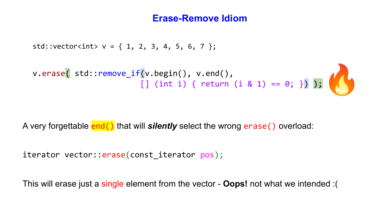```
std::vector<sub>></sub>int> v = { 1, 2, 3, 4, 5, 6, 7 };v.erase( std::remove_if(v.begin(), v.end(),
[\,] (int i) { return (i & 1) == 0; }) );
```
A very forgettable end() that will *silently* select the wrong erase() overload:

```
iterator vector:: erase(const iterator pos);
```
This will erase just a single element from the vector - **Oops!** not what we intended :(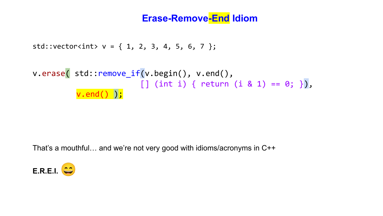#### **Erase-Remove-End Idiom**

```
std::vector<sub>></sub>int> v = { 1, 2, 3, 4, 5, 6, 7 };
```

$$
\text{v.erase( std::remove_if(v.begin(), v.end(), v.end(), \text{ [} j (int i) { return (i & 1) == 0; }),
$$
\n
$$
\text{v.end() });
$$

That's a mouthful… and we're not very good with idioms/acronyms in C++

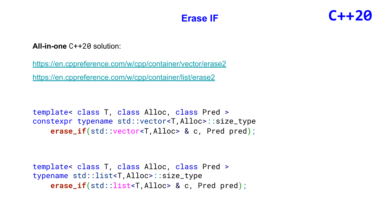#### **Erase IF**

## **C++20**

**All-in-one** C++20 solution:

<https://en.cppreference.com/w/cpp/container/vector/erase2> <https://en.cppreference.com/w/cpp/container/list/erase2>

template< class T, class Alloc, class Pred > constexpr typename [std::vector](http://en.cppreference.com/w/cpp/container/vector)<T,Alloc>::size\_type **erase\_if**[\(std::vector<](http://en.cppreference.com/w/cpp/container/vector)T,Alloc> & c, Pred pred);

```
template< class T, class Alloc, class Pred >
typename std::list<T,Alloc>::size_type
    erase_if(std::list<T,Alloc> & c, Pred pred);
```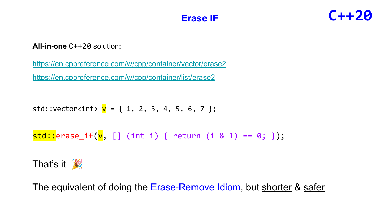#### **Erase IF**

## **C++20**

#### **All-in-one** C++20 solution:

<https://en.cppreference.com/w/cpp/container/vector/erase2> <https://en.cppreference.com/w/cpp/container/list/erase2>

std::vector<int>  $v = \{ 1, 2, 3, 4, 5, 6, 7 \};$ 

```
std::erase_if(v, [] (int i) { return (i & 1) == 0; });
```


The equivalent of doing the Erase-Remove Idiom, but shorter & safer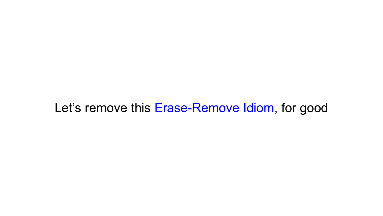### Let's remove this Erase-Remove Idiom, for good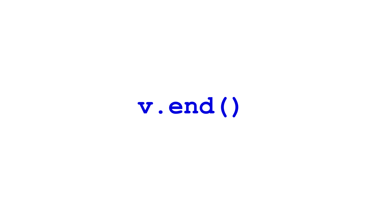v.end()